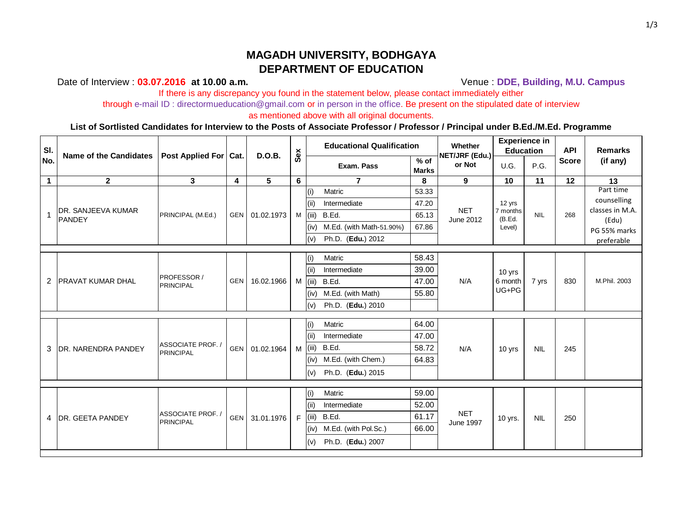# **MAGADH UNIVERSITY, BODHGAYA DEPARTMENT OF EDUCATION**

### Date of Interview : **03.07.2016** at 10.00 a.m. **Venue : DDE, Building, M.U. Campus**

If there is any discrepancy you found in the statement below, please contact immediately either through e-mail ID : directormueducation@gmail.com or in person in the office. Be present on the stipulated date of interview

as mentioned above with all original documents.

#### **List of Sortlisted Candidates for Interview to the Posts of Associate Professor / Professor / Principal under B.Ed./M.Ed. Programme**

| SI.            | <b>Name of the Candidates</b>              | Post Applied For   Cat.             |                         | <b>D.O.B.</b>  | Sex       | <b>Educational Qualification</b> |                        | Whether<br>NET/JRF (Edu.)      | <b>Experience in</b><br><b>Education</b> |            | <b>API</b>   | <b>Remarks</b>           |
|----------------|--------------------------------------------|-------------------------------------|-------------------------|----------------|-----------|----------------------------------|------------------------|--------------------------------|------------------------------------------|------------|--------------|--------------------------|
| No.            |                                            |                                     |                         |                |           | Exam. Pass                       | $%$ of<br><b>Marks</b> | or Not                         | U.G.                                     | P.G.       | <b>Score</b> | (if any)                 |
| $\mathbf 1$    | $\overline{2}$                             | $\mathbf{3}$                        | $\overline{\mathbf{4}}$ | 5              | 6         | $\overline{7}$                   | 8                      | $9^{\circ}$                    | 10                                       | 11         | 12           | 13                       |
|                | <b>DR. SANJEEVA KUMAR</b><br><b>PANDEY</b> | PRINCIPAL (M.Ed.)                   |                         |                |           | Matric<br>(i)                    | 53.33                  | <b>NET</b><br>June 2012        | 12 yrs<br>7 months<br>(B.Ed.<br>Level)   | <b>NIL</b> | 268          | Part time                |
|                |                                            |                                     |                         | GEN 01.02.1973 |           | Intermediate<br>(ii)             | 47.20                  |                                |                                          |            |              | counselling              |
|                |                                            |                                     |                         |                |           | B.Ed.<br>$M$ (iii)               | 65.13                  |                                |                                          |            |              | classes in M.A.<br>(Edu) |
|                |                                            |                                     |                         |                |           | M.Ed. (with Math-51.90%)<br>(iv) | 67.86                  |                                |                                          |            |              | PG 55% marks             |
|                |                                            |                                     |                         |                |           | Ph.D. (Edu.) 2012<br>(v)         |                        |                                |                                          |            |              | preferable               |
|                |                                            |                                     |                         |                |           |                                  |                        |                                |                                          |            |              |                          |
|                | <b>PRAVAT KUMAR DHAL</b>                   | <b>PROFESSOR</b> /<br>PRINCIPAL     |                         | GEN 16.02.1966 |           | Matric<br>(i)                    | 58.43                  | N/A                            | 10 yrs<br>6 month<br>UG+PG               | 7 yrs      | 830          |                          |
|                |                                            |                                     |                         |                |           | Intermediate<br>(iii)            | 39.00                  |                                |                                          |            |              | M.Phil. 2003             |
| $\overline{2}$ |                                            |                                     |                         |                |           | B.Ed.<br>$M$ (iii)               | 47.00                  |                                |                                          |            |              |                          |
|                |                                            |                                     |                         |                |           | M.Ed. (with Math)<br>(iv)        | 55.80                  |                                |                                          |            |              |                          |
|                |                                            |                                     |                         |                |           | Ph.D. (Edu.) 2010<br>(v)         |                        |                                |                                          |            |              |                          |
|                |                                            |                                     |                         |                |           |                                  |                        |                                |                                          |            |              |                          |
|                | <b>DR. NARENDRA PANDEY</b>                 | ASSOCIATE PROF. /<br>PRINCIPAL      |                         | GEN 01.02.1964 | $M$ (iii) | Matric<br>(i)                    | 64.00                  | N/A                            | 10 yrs                                   | <b>NIL</b> | 245          |                          |
|                |                                            |                                     |                         |                |           | Intermediate<br>(i)              | 47.00                  |                                |                                          |            |              |                          |
| 3              |                                            |                                     |                         |                |           | B.Ed.                            | 58.72                  |                                |                                          |            |              |                          |
|                |                                            |                                     |                         |                |           | M.Ed. (with Chem.)<br>(iv)       | 64.83                  |                                |                                          |            |              |                          |
|                |                                            |                                     |                         |                |           | Ph.D. (Edu.) 2015<br>(v)         |                        |                                |                                          |            |              |                          |
|                |                                            |                                     |                         |                |           |                                  |                        |                                |                                          |            |              |                          |
|                | 4 DR. GEETA PANDEY                         | <b>ASSOCIATE PROF.</b><br>PRINCIPAL | GEN <sup>I</sup>        | 31.01.1976     | $F$ (iii) | (i)<br>Matric                    | 59.00                  | <b>NET</b><br><b>June 1997</b> | 10 yrs.                                  | <b>NIL</b> | 250          |                          |
|                |                                            |                                     |                         |                |           | Intermediate<br>(i)              | 52.00                  |                                |                                          |            |              |                          |
|                |                                            |                                     |                         |                |           | B.Ed.                            | 61.17                  |                                |                                          |            |              |                          |
|                |                                            |                                     |                         |                |           | M.Ed. (with Pol.Sc.)<br>(iv)     | 66.00                  |                                |                                          |            |              |                          |
|                |                                            |                                     |                         |                |           | Ph.D. (Edu.) 2007<br>(v)         |                        |                                |                                          |            |              |                          |
|                |                                            |                                     |                         |                |           |                                  |                        |                                |                                          |            |              |                          |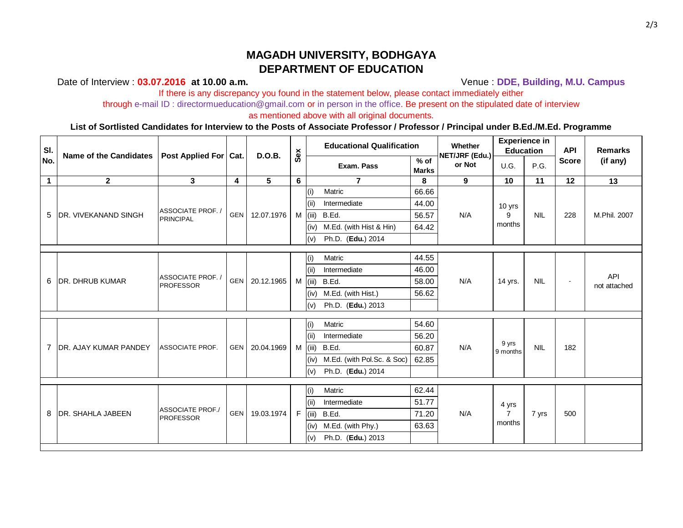# **MAGADH UNIVERSITY, BODHGAYA DEPARTMENT OF EDUCATION**

### Date of Interview : **03.07.2016** at 10.00 a.m. **Venue : DDE, Building, M.U. Campus**

If there is any discrepancy you found in the statement below, please contact immediately either

through e-mail ID : directormueducation@gmail.com or in person in the office. Be present on the stipulated date of interview

as mentioned above with all original documents.

### **List of Sortlisted Candidates for Interview to the Posts of Associate Professor / Professor / Principal under B.Ed./M.Ed. Programme**

| SI.<br>No.     | <b>Name of the Candidates</b> | Post Applied For   Cat.                     |                  | <b>D.O.B.</b>  | Sex            | <b>Educational Qualification</b> |                        | Whether<br>NET/JRF (Edu.) | <b>Experience in</b><br><b>Education</b> |            | <b>API</b>   | <b>Remarks</b>      |
|----------------|-------------------------------|---------------------------------------------|------------------|----------------|----------------|----------------------------------|------------------------|---------------------------|------------------------------------------|------------|--------------|---------------------|
|                |                               |                                             |                  |                |                | Exam. Pass                       | $%$ of<br><b>Marks</b> | or Not                    | U.G.                                     | P.G.       | <b>Score</b> | (if any)            |
| $\mathbf 1$    | $\overline{2}$                | $\mathbf{3}$                                | $\boldsymbol{4}$ | 5              | $6\phantom{a}$ | $\overline{7}$                   | 8                      | $9^{\circ}$               | 10                                       | 11         | 12           | 13                  |
|                | <b>DR. VIVEKANAND SINGH</b>   |                                             |                  |                |                | Matric<br>(i)                    | 66.66                  |                           | 10 yrs<br>9<br>months                    | <b>NIL</b> | 228          | M.Phil. 2007        |
|                |                               |                                             | <b>GEN</b>       | 12.07.1976     |                | Intermediate<br>(iii)            | 44.00                  | N/A                       |                                          |            |              |                     |
| 5              |                               | ASSOCIATE PROF. /<br>PRINCIPAL              |                  |                |                | $M$ (iii)<br>B.Ed.               | 56.57                  |                           |                                          |            |              |                     |
|                |                               |                                             |                  |                |                | M.Ed. (with Hist & Hin)<br>(iv)  | 64.42                  |                           |                                          |            |              |                     |
|                |                               |                                             |                  |                |                | Ph.D. (Edu.) 2014<br>(v)         |                        |                           |                                          |            |              |                     |
|                |                               |                                             |                  |                |                |                                  |                        |                           |                                          |            |              |                     |
|                |                               | <b>ASSOCIATE PROF.</b><br><b>PROFESSOR</b>  | <b>GEN</b>       | 20.12.1965     |                | Matric<br>(i)                    | 44.55                  | N/A                       | 14 yrs.                                  | <b>NIL</b> | $\sim$       | API<br>not attached |
|                | <b>DR. DHRUB KUMAR</b>        |                                             |                  |                |                | Intermediate<br>(iii)            | 46.00                  |                           |                                          |            |              |                     |
| 6              |                               |                                             |                  |                |                | B.Ed.<br>$M$ (iii)               | 58.00                  |                           |                                          |            |              |                     |
|                |                               |                                             |                  |                |                | (iv) M.Ed. (with Hist.)          | 56.62                  |                           |                                          |            |              |                     |
|                |                               |                                             |                  |                |                | Ph.D. (Edu.) 2013<br>(v)         |                        |                           |                                          |            |              |                     |
|                |                               |                                             |                  |                |                |                                  |                        |                           |                                          |            |              |                     |
|                | <b>DR. AJAY KUMAR PANDEY</b>  | <b>ASSOCIATE PROF.</b>                      | <b>GEN</b>       | 20.04.1969     |                | (i)<br>Matric                    | 54.60                  | N/A                       | 9 yrs<br>9 months                        | <b>NIL</b> | 182          |                     |
|                |                               |                                             |                  |                |                | Intermediate<br>(i)              | 56.20                  |                           |                                          |            |              |                     |
| $\overline{7}$ |                               |                                             |                  |                |                | $M$ (iii) B.Ed.                  | 60.87                  |                           |                                          |            |              |                     |
|                |                               |                                             |                  |                |                | (iv) M.Ed. (with Pol.Sc. & Soc)  | 62.85                  |                           |                                          |            |              |                     |
|                |                               |                                             |                  |                |                | Ph.D. (Edu.) 2014<br>(v)         |                        |                           |                                          |            |              |                     |
|                |                               |                                             |                  |                |                |                                  |                        |                           |                                          |            |              |                     |
|                | <b>DR. SHAHLA JABEEN</b>      | <b>ASSOCIATE PROF./</b><br><b>PROFESSOR</b> |                  | GEN 19.03.1974 |                | Matric<br>(i)                    | 62.44                  | N/A                       | 4 yrs<br>$\overline{7}$<br>months        | 7 yrs      | 500          |                     |
|                |                               |                                             |                  |                |                | Intermediate<br>(iii)            | 51.77                  |                           |                                          |            |              |                     |
| 8              |                               |                                             |                  |                |                | B.Ed.<br>$F$ (iii)               | 71.20                  |                           |                                          |            |              |                     |
|                |                               |                                             |                  |                |                | M.Ed. (with Phy.)<br>(iv)        | 63.63                  |                           |                                          |            |              |                     |
|                |                               |                                             |                  |                |                | Ph.D. (Edu.) 2013<br>(v)         |                        |                           |                                          |            |              |                     |
|                |                               |                                             |                  |                |                |                                  |                        |                           |                                          |            |              |                     |